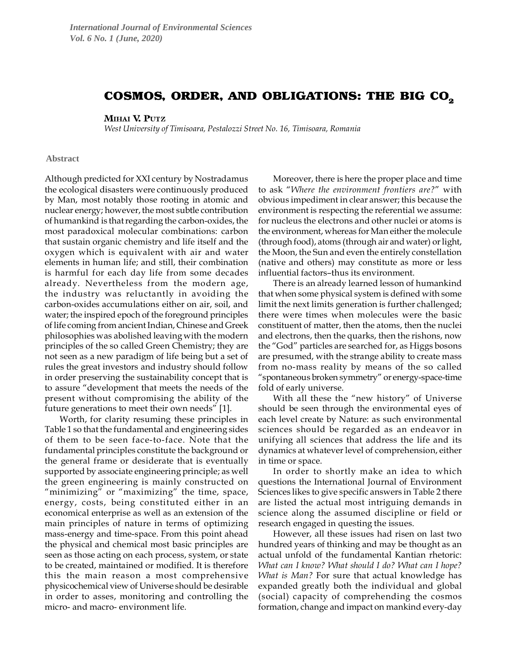# COSMOS, ORDER, AND OBLIGATIONS: THE BIG CO<sub>2</sub>

## MIHAI V. PUTZ

*West University of Timisoara, Pestalozzi Street No. 16, Timisoara, Romania*

### **Abstract**

Although predicted for XXI century by Nostradamus the ecological disasters were continuously produced by Man, most notably those rooting in atomic and nuclear energy; however, the most subtle contribution of humankind is that regarding the carbon-oxides, the most paradoxical molecular combinations: carbon that sustain organic chemistry and life itself and the oxygen which is equivalent with air and water elements in human life; and still, their combination is harmful for each day life from some decades already. Nevertheless from the modern age, the industry was reluctantly in avoiding the carbon-oxides accumulations either on air, soil, and water; the inspired epoch of the foreground principles of life coming from ancient Indian, Chinese and Greek philosophies was abolished leaving with the modern principles of the so called Green Chemistry; they are not seen as a new paradigm of life being but a set of rules the great investors and industry should follow in order preserving the sustainability concept that is to assure "development that meets the needs of the present without compromising the ability of the future generations to meet their own needs" [1].

Worth, for clarity resuming these principles in Table 1 so that the fundamental and engineering sides of them to be seen face-to-face. Note that the fundamental principles constitute the background or the general frame or desiderate that is eventually supported by associate engineering principle; as well the green engineering is mainly constructed on "minimizing" or "maximizing" the time, space, energy, costs, being constituted either in an economical enterprise as well as an extension of the main principles of nature in terms of optimizing mass-energy and time-space. From this point ahead the physical and chemical most basic principles are seen as those acting on each process, system, or state to be created, maintained or modified. It is therefore this the main reason a most comprehensive physicochemical view of Universe should be desirable in order to asses, monitoring and controlling the micro- and macro- environment life.

Moreover, there is here the proper place and time to ask "*Where the environment frontiers are?*" with obvious impediment in clear answer; this because the environment is respecting the referential we assume: for nucleus the electrons and other nuclei or atoms is the environment, whereas for Man either the molecule (through food), atoms (through air and water) or light, the Moon, the Sun and even the entirely constellation (native and others) may constitute as more or less influential factors–thus its environment.

There is an already learned lesson of humankind that when some physical system is defined with some limit the next limits generation is further challenged; there were times when molecules were the basic constituent of matter, then the atoms, then the nuclei and electrons, then the quarks, then the rishons, now the "God" particles are searched for, as Higgs bosons are presumed, with the strange ability to create mass from no-mass reality by means of the so called "spontaneous broken symmetry" or energy-space-time fold of early universe.

With all these the "new history" of Universe should be seen through the environmental eyes of each level create by Nature: as such environmental sciences should be regarded as an endeavor in unifying all sciences that address the life and its dynamics at whatever level of comprehension, either in time or space.

In order to shortly make an idea to which questions the International Journal of Environment Sciences likes to give specific answers in Table 2 there are listed the actual most intriguing demands in science along the assumed discipline or field or research engaged in questing the issues.

However, all these issues had risen on last two hundred years of thinking and may be thought as an actual unfold of the fundamental Kantian rhetoric: *What can I know? What should I do? What can I hope? What is Man?* For sure that actual knowledge has expanded greatly both the individual and global (social) capacity of comprehending the cosmos formation, change and impact on mankind every-day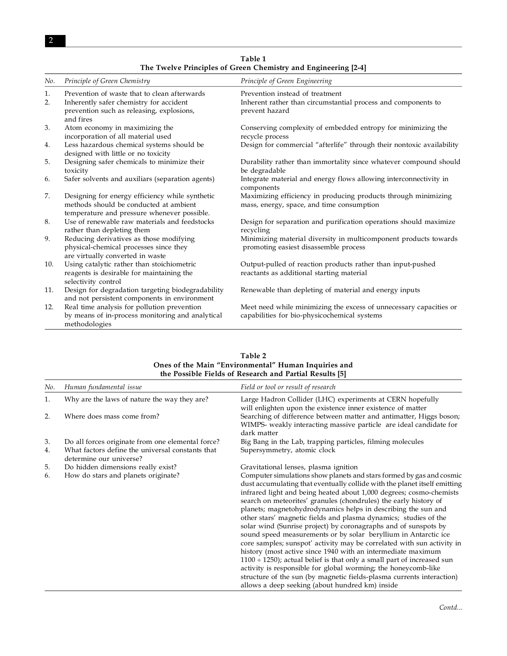| No. | Principle of Green Chemistry                                                     | Principle of Green Engineering                                                  |
|-----|----------------------------------------------------------------------------------|---------------------------------------------------------------------------------|
| 1.  | Prevention of waste that to clean afterwards                                     | Prevention instead of treatment                                                 |
| 2.  | Inherently safer chemistry for accident                                          | Inherent rather than circumstantial process and components to                   |
|     | prevention such as releasing, explosions,<br>and fires                           | prevent hazard                                                                  |
| 3.  | Atom economy in maximizing the                                                   | Conserving complexity of embedded entropy for minimizing the                    |
|     | incorporation of all material used                                               | recycle process                                                                 |
| 4.  | Less hazardous chemical systems should be<br>designed with little or no toxicity | Design for commercial "afterlife" through their nontoxic availability           |
| 5.  | Designing safer chemicals to minimize their                                      | Durability rather than immortality since whatever compound should               |
|     | toxicity                                                                         | be degradable                                                                   |
| 6.  | Safer solvents and auxiliars (separation agents)                                 | Integrate material and energy flows allowing interconnectivity in<br>components |
| 7.  | Designing for energy efficiency while synthetic                                  | Maximizing efficiency in producing products through minimizing                  |
|     | methods should be conducted at ambient                                           | mass, energy, space, and time consumption                                       |
|     | temperature and pressure whenever possible.                                      |                                                                                 |
| 8.  | Use of renewable raw materials and feedstocks                                    | Design for separation and purification operations should maximize               |
|     | rather than depleting them                                                       | recycling                                                                       |
| 9.  | Reducing derivatives as those modifying                                          | Minimizing material diversity in multicomponent products towards                |
|     | physical-chemical processes since they                                           | promoting easiest disassemble process                                           |
|     | are virtually converted in waste                                                 |                                                                                 |
| 10. | Using catalytic rather than stoichiometric                                       | Output-pulled of reaction products rather than input-pushed                     |
|     | reagents is desirable for maintaining the                                        | reactants as additional starting material                                       |
|     | selectivity control                                                              |                                                                                 |
| 11. | Design for degradation targeting biodegradability                                | Renewable than depleting of material and energy inputs                          |
|     | and not persistent components in environment                                     |                                                                                 |
| 12. | Real time analysis for pollution prevention                                      | Meet need while minimizing the excess of unnecessary capacities or              |
|     | by means of in-process monitoring and analytical<br>methodologies                | capabilities for bio-physicochemical systems                                    |

**Table 1 The Twelve Principles of Green Chemistry and Engineering [2-4]**

| Table 2<br>Ones of the Main "Environmental" Human Inquiries and<br>the Possible Fields of Research and Partial Results [5] |                                                                             |                                                                                                                                                                                                                                                                                                                                                                                                                                                                                                                                                                                                                                                                                                                                                                                                                                                                                                                                                                                                 |  |
|----------------------------------------------------------------------------------------------------------------------------|-----------------------------------------------------------------------------|-------------------------------------------------------------------------------------------------------------------------------------------------------------------------------------------------------------------------------------------------------------------------------------------------------------------------------------------------------------------------------------------------------------------------------------------------------------------------------------------------------------------------------------------------------------------------------------------------------------------------------------------------------------------------------------------------------------------------------------------------------------------------------------------------------------------------------------------------------------------------------------------------------------------------------------------------------------------------------------------------|--|
| No.                                                                                                                        | Human fundamental issue                                                     | Field or tool or result of research                                                                                                                                                                                                                                                                                                                                                                                                                                                                                                                                                                                                                                                                                                                                                                                                                                                                                                                                                             |  |
| 1.                                                                                                                         | Why are the laws of nature the way they are?                                | Large Hadron Collider (LHC) experiments at CERN hopefully<br>will enlighten upon the existence inner existence of matter                                                                                                                                                                                                                                                                                                                                                                                                                                                                                                                                                                                                                                                                                                                                                                                                                                                                        |  |
| 2.                                                                                                                         | Where does mass come from?                                                  | Searching of difference between matter and antimatter, Higgs boson;<br>WIMPS- weakly interacting massive particle are ideal candidate for<br>dark matter                                                                                                                                                                                                                                                                                                                                                                                                                                                                                                                                                                                                                                                                                                                                                                                                                                        |  |
| 3.                                                                                                                         | Do all forces originate from one elemental force?                           | Big Bang in the Lab, trapping particles, filming molecules                                                                                                                                                                                                                                                                                                                                                                                                                                                                                                                                                                                                                                                                                                                                                                                                                                                                                                                                      |  |
| 4.                                                                                                                         | What factors define the universal constants that<br>determine our universe? | Supersymmetry, atomic clock                                                                                                                                                                                                                                                                                                                                                                                                                                                                                                                                                                                                                                                                                                                                                                                                                                                                                                                                                                     |  |
| 5.                                                                                                                         | Do hidden dimensions really exist?                                          | Gravitational lenses, plasma ignition                                                                                                                                                                                                                                                                                                                                                                                                                                                                                                                                                                                                                                                                                                                                                                                                                                                                                                                                                           |  |
| 6.                                                                                                                         | How do stars and planets originate?                                         | Computer simulations show planets and stars formed by gas and cosmic<br>dust accumulating that eventually collide with the planet itself emitting<br>infrared light and being heated about 1,000 degrees; cosmo-chemists<br>search on meteorites' granules (chondrules) the early history of<br>planets; magnetohydrodynamics helps in describing the sun and<br>other stars' magnetic fields and plasma dynamics; studies of the<br>solar wind (Sunrise project) by coronagraphs and of sunspots by<br>sound speed measurements or by solar beryllium in Antarctic ice<br>core samples; sunspot' activity may be correlated with sun activity in<br>history (most active since 1940 with an intermediate maximum<br>$1100 \div 1250$ ); actual belief is that only a small part of increased sun<br>activity is responsible for global worming; the honeycomb-like<br>structure of the sun (by magnetic fields-plasma currents interaction)<br>allows a deep seeking (about hundred km) inside |  |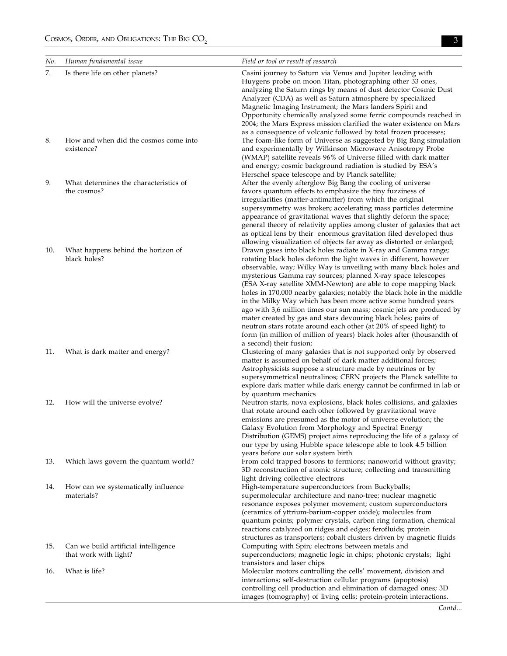| No. | Human fundamental issue                                       | Field or tool or result of research                                                                                                                                                                                                                                                                                                                                                                                                                                                                                                                                                                                                                                                                                                                                                                         |
|-----|---------------------------------------------------------------|-------------------------------------------------------------------------------------------------------------------------------------------------------------------------------------------------------------------------------------------------------------------------------------------------------------------------------------------------------------------------------------------------------------------------------------------------------------------------------------------------------------------------------------------------------------------------------------------------------------------------------------------------------------------------------------------------------------------------------------------------------------------------------------------------------------|
| 7.  | Is there life on other planets?                               | Casini journey to Saturn via Venus and Jupiter leading with<br>Huygens probe on moon Titan, photographing other 33 ones,<br>analyzing the Saturn rings by means of dust detector Cosmic Dust<br>Analyzer (CDA) as well as Saturn atmosphere by specialized<br>Magnetic Imaging Instrument; the Mars landers Spirit and<br>Opportunity chemically analyzed some ferric compounds reached in<br>2004; the Mars Express mission clarified the water existence on Mars<br>as a consequence of volcanic followed by total frozen processes;                                                                                                                                                                                                                                                                      |
| 8.  | How and when did the cosmos come into<br>existence?           | The foam-like form of Universe as suggested by Big Bang simulation<br>and experimentally by Wilkinson Microwave Anisotropy Probe<br>(WMAP) satellite reveals 96% of Universe filled with dark matter<br>and energy; cosmic background radiation is studied by ESA's<br>Herschel space telescope and by Planck satellite;                                                                                                                                                                                                                                                                                                                                                                                                                                                                                    |
| 9.  | What determines the characteristics of<br>the cosmos?         | After the evenly afterglow Big Bang the cooling of universe<br>favors quantum effects to emphasize the tiny fuzziness of<br>irregularities (matter-antimatter) from which the original<br>supersymmetry was broken; accelerating mass particles determine<br>appearance of gravitational waves that slightly deform the space;<br>general theory of relativity applies among cluster of galaxies that act<br>as optical lens by their enormous gravitation filed developed thus<br>allowing visualization of objects far away as distorted or enlarged;                                                                                                                                                                                                                                                     |
| 10. | What happens behind the horizon of<br>black holes?            | Drawn gases into black holes radiate in X-ray and Gamma range;<br>rotating black holes deform the light waves in different, however<br>observable, way; Wilky Way is unveiling with many black holes and<br>mysterious Gamma ray sources; planned X-ray space telescopes<br>(ESA X-ray satellite XMM-Newton) are able to cope mapping black<br>holes in 170,000 nearby galaxies; notably the black hole in the middle<br>in the Milky Way which has been more active some hundred years<br>ago with 3,6 million times our sun mass; cosmic jets are produced by<br>mater created by gas and stars devouring black holes; pairs of<br>neutron stars rotate around each other (at 20% of speed light) to<br>form (in million of million of years) black holes after (thousandth of<br>a second) their fusion; |
| 11. | What is dark matter and energy?                               | Clustering of many galaxies that is not supported only by observed<br>matter is assumed on behalf of dark matter additional forces;<br>Astrophysicists suppose a structure made by neutrinos or by<br>supersymmetrical neutralinos; CERN projects the Planck satellite to<br>explore dark matter while dark energy cannot be confirmed in lab or<br>by quantum mechanics                                                                                                                                                                                                                                                                                                                                                                                                                                    |
| 12. | How will the universe evolve?                                 | Neutron starts, nova explosions, black holes collisions, and galaxies<br>that rotate around each other followed by gravitational wave<br>emissions are presumed as the motor of universe evolution; the<br>Galaxy Evolution from Morphology and Spectral Energy<br>Distribution (GEMS) project aims reproducing the life of a galaxy of<br>our type by using Hubble space telescope able to look 4.5 billion<br>years before our solar system birth                                                                                                                                                                                                                                                                                                                                                         |
| 13. | Which laws govern the quantum world?                          | From cold trapped bosons to fermions; nanoworld without gravity;<br>3D reconstruction of atomic structure; collecting and transmitting<br>light driving collective electrons                                                                                                                                                                                                                                                                                                                                                                                                                                                                                                                                                                                                                                |
| 14. | How can we systematically influence<br>materials?             | High-temperature superconductors from Buckyballs;<br>supermolecular architecture and nano-tree; nuclear magnetic<br>resonance exposes polymer movement; custom superconductors<br>(ceramics of yttrium-barium-copper oxide); molecules from<br>quantum points; polymer crystals, carbon ring formation, chemical<br>reactions catalyzed on ridges and edges; ferofluids; protein<br>structures as transporters; cobalt clusters driven by magnetic fluids                                                                                                                                                                                                                                                                                                                                                   |
| 15. | Can we build artificial intelligence<br>that work with light? | Computing with Spin; electrons between metals and<br>superconductors; magnetic logic in chips; photonic crystals; light<br>transistors and laser chips                                                                                                                                                                                                                                                                                                                                                                                                                                                                                                                                                                                                                                                      |
| 16. | What is life?                                                 | Molecular motors controlling the cells' movement, division and<br>interactions; self-destruction cellular programs (apoptosis)<br>controlling cell production and elimination of damaged ones; 3D<br>images (tomography) of living cells; protein-protein interactions.                                                                                                                                                                                                                                                                                                                                                                                                                                                                                                                                     |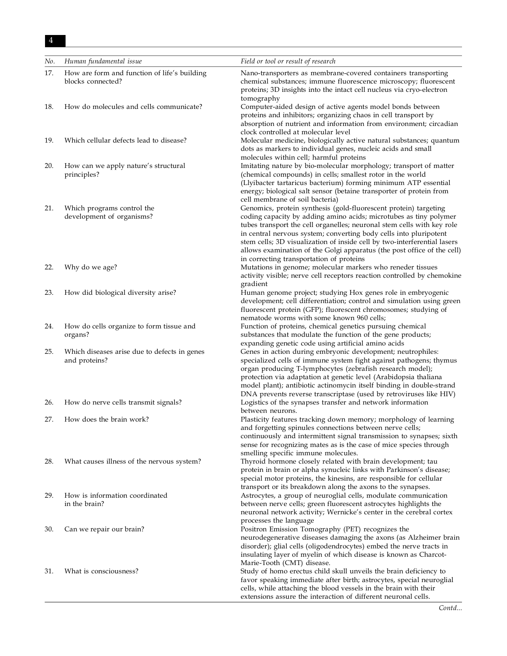## $4$

| No. | Human fundamental issue                                           | Field or tool or result of research                                                                                                                                                                                                                                                                                                                                                                                                                                                     |
|-----|-------------------------------------------------------------------|-----------------------------------------------------------------------------------------------------------------------------------------------------------------------------------------------------------------------------------------------------------------------------------------------------------------------------------------------------------------------------------------------------------------------------------------------------------------------------------------|
| 17. | How are form and function of life's building<br>blocks connected? | Nano-transporters as membrane-covered containers transporting<br>chemical substances; immune fluorescence microscopy; fluorescent<br>proteins; 3D insights into the intact cell nucleus via cryo-electron<br>tomography                                                                                                                                                                                                                                                                 |
| 18. | How do molecules and cells communicate?                           | Computer-aided design of active agents model bonds between<br>proteins and inhibitors; organizing chaos in cell transport by<br>absorption of nutrient and information from environment; circadian<br>clock controlled at molecular level                                                                                                                                                                                                                                               |
| 19. | Which cellular defects lead to disease?                           | Molecular medicine, biologically active natural substances; quantum<br>dots as markers to individual genes, nucleic acids and small<br>molecules within cell; harmful proteins                                                                                                                                                                                                                                                                                                          |
| 20. | How can we apply nature's structural<br>principles?               | Imitating nature by bio-molecular morphology; transport of matter<br>(chemical compounds) in cells; smallest rotor in the world<br>(Llyibacter tartaricus bacterium) forming minimum ATP essential<br>energy; biological salt sensor (betaine transporter of protein from<br>cell membrane of soil bacteria)                                                                                                                                                                            |
| 21. | Which programs control the<br>development of organisms?           | Genomics, protein synthesis (gold-fluorescent protein) targeting<br>coding capacity by adding amino acids; microtubes as tiny polymer<br>tubes transport the cell organelles; neuronal stem cells with key role<br>in central nervous system; converting body cells into pluripotent<br>stem cells; 3D visualization of inside cell by two-interferential lasers<br>allows examination of the Golgi apparatus (the post office of the cell)<br>in correcting transportation of proteins |
| 22. | Why do we age?                                                    | Mutations in genome; molecular markers who reneder tissues<br>activity visible; nerve cell receptors reaction controlled by chemokine<br>gradient                                                                                                                                                                                                                                                                                                                                       |
| 23. | How did biological diversity arise?                               | Human genome project; studying Hox genes role in embryogenic<br>development; cell differentiation; control and simulation using green<br>fluorescent protein (GFP); fluorescent chromosomes; studying of<br>nematode worms with some known 960 cells;                                                                                                                                                                                                                                   |
| 24. | How do cells organize to form tissue and<br>organs?               | Function of proteins, chemical genetics pursuing chemical<br>substances that modulate the function of the gene products;<br>expanding genetic code using artificial amino acids                                                                                                                                                                                                                                                                                                         |
| 25. | Which diseases arise due to defects in genes<br>and proteins?     | Genes in action during embryonic development; neutrophiles:<br>specialized cells of immune system fight against pathogens; thymus<br>organ producing T-lymphocytes (zebrafish research model);<br>protection via adaptation at genetic level (Arabidopsia thaliana<br>model plant); antibiotic actinomycin itself binding in double-strand<br>DNA prevents reverse transcriptase (used by retroviruses like HIV)                                                                        |
| 26. | How do nerve cells transmit signals?                              | Logistics of the synapses transfer and network information<br>between neurons.                                                                                                                                                                                                                                                                                                                                                                                                          |
| 27. | How does the brain work?                                          | Plasticity features tracking down memory; morphology of learning<br>and forgetting spinules connections between nerve cells;<br>continuously and intermittent signal transmission to synapses; sixth<br>sense for recognizing mates as is the case of mice species through<br>smelling specific immune molecules.                                                                                                                                                                       |
| 28. | What causes illness of the nervous system?                        | Thyroid hormone closely related with brain development; tau<br>protein in brain or alpha synucleic links with Parkinson's disease;<br>special motor proteins, the kinesins, are responsible for cellular<br>transport or its breakdown along the axons to the synapses.                                                                                                                                                                                                                 |
| 29. | How is information coordinated<br>in the brain?                   | Astrocytes, a group of neuroglial cells, modulate communication<br>between nerve cells; green fluorescent astrocytes highlights the<br>neuronal network activity; Wernicke's center in the cerebral cortex<br>processes the language                                                                                                                                                                                                                                                    |
| 30. | Can we repair our brain?                                          | Positron Emission Tomography (PET) recognizes the<br>neurodegenerative diseases damaging the axons (as Alzheimer brain<br>disorder); glial cells (oligodendrocytes) embed the nerve tracts in<br>insulating layer of myelin of which disease is known as Charcot-<br>Marie-Tooth (CMT) disease.                                                                                                                                                                                         |
| 31. | What is consciousness?                                            | Study of homo erectus child skull unveils the brain deficiency to<br>favor speaking immediate after birth; astrocytes, special neuroglial<br>cells, while attaching the blood vessels in the brain with their<br>extensions assure the interaction of different neuronal cells.                                                                                                                                                                                                         |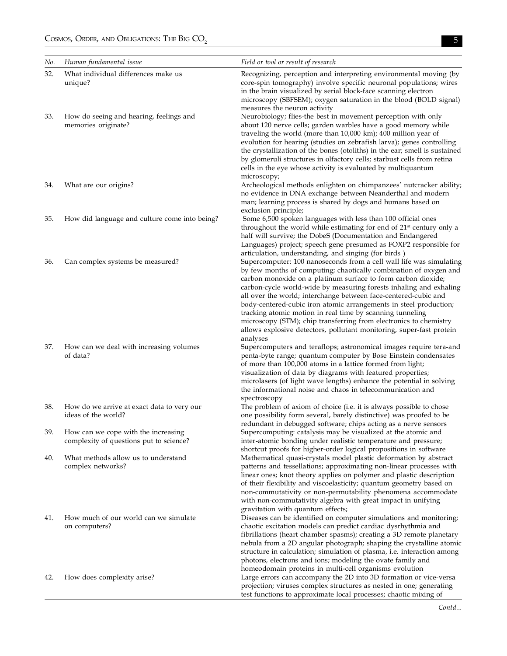| No. | Human fundamental issue                                                        | Field or tool or result of research                                                                                                                                                                                                                                                                                                                                                                                                                                                                                                                                                                                                                                                                   |
|-----|--------------------------------------------------------------------------------|-------------------------------------------------------------------------------------------------------------------------------------------------------------------------------------------------------------------------------------------------------------------------------------------------------------------------------------------------------------------------------------------------------------------------------------------------------------------------------------------------------------------------------------------------------------------------------------------------------------------------------------------------------------------------------------------------------|
| 32. | What individual differences make us<br>unique?                                 | Recognizing, perception and interpreting environmental moving (by<br>core-spin tomography) involve specific neuronal populations; wires<br>in the brain visualized by serial block-face scanning electron<br>microscopy (SBFSEM); oxygen saturation in the blood (BOLD signal)<br>measures the neuron activity                                                                                                                                                                                                                                                                                                                                                                                        |
| 33. | How do seeing and hearing, feelings and<br>memories originate?                 | Neurobiology; flies-the best in movement perception with only<br>about 120 nerve cells; garden warbles have a good memory while<br>traveling the world (more than 10,000 km); 400 million year of<br>evolution for hearing (studies on zebrafish larva); genes controlling<br>the crystallization of the bones (otoliths) in the ear; smell is sustained<br>by glomeruli structures in olfactory cells; starbust cells from retina<br>cells in the eye whose activity is evaluated by multiquantum<br>microscopy;                                                                                                                                                                                     |
| 34. | What are our origins?                                                          | Archeological methods enlighten on chimpanzees' nutcracker ability;<br>no evidence in DNA exchange between Neanderthal and modern<br>man; learning process is shared by dogs and humans based on<br>exclusion principle;                                                                                                                                                                                                                                                                                                                                                                                                                                                                              |
| 35. | How did language and culture come into being?                                  | Some 6,500 spoken languages with less than 100 official ones<br>throughout the world while estimating for end of 21 <sup>st</sup> century only a<br>half will survive; the DobeS (Documentation and Endangered<br>Languages) project; speech gene presumed as FOXP2 responsible for                                                                                                                                                                                                                                                                                                                                                                                                                   |
| 36. | Can complex systems be measured?                                               | articulation, understanding, and singing (for birds)<br>Supercomputer: 100 nanoseconds from a cell wall life was simulating<br>by few months of computing; chaotically combination of oxygen and<br>carbon monoxide on a platinum surface to form carbon dioxide;<br>carbon-cycle world-wide by measuring forests inhaling and exhaling<br>all over the world; interchange between face-centered-cubic and<br>body-centered-cubic iron atomic arrangements in steel production;<br>tracking atomic motion in real time by scanning tunneling<br>microscopy (STM); chip transferring from electronics to chemistry<br>allows explosive detectors, pollutant monitoring, super-fast protein<br>analyses |
| 37. | How can we deal with increasing volumes<br>of data?                            | Supercomputers and teraflops; astronomical images require tera-and<br>penta-byte range; quantum computer by Bose Einstein condensates<br>of more than 100,000 atoms in a lattice formed from light;<br>visualization of data by diagrams with featured properties;<br>microlasers (of light wave lengths) enhance the potential in solving<br>the informational noise and chaos in telecommunication and<br>spectroscopy                                                                                                                                                                                                                                                                              |
| 38. | How do we arrive at exact data to very our<br>ideas of the world?              | The problem of axiom of choice (i.e. it is always possible to chose<br>one possibility form several, barely distinctive) was proofed to be<br>redundant in debugged software; chips acting as a nerve sensors                                                                                                                                                                                                                                                                                                                                                                                                                                                                                         |
| 39. | How can we cope with the increasing<br>complexity of questions put to science? | Supercomputing: catalysis may be visualized at the atomic and<br>inter-atomic bonding under realistic temperature and pressure;<br>shortcut proofs for higher-order logical propositions in software                                                                                                                                                                                                                                                                                                                                                                                                                                                                                                  |
| 40. | What methods allow us to understand<br>complex networks?                       | Mathematical quasi-crystals model plastic deformation by abstract<br>patterns and tessellations; approximating non-linear processes with<br>linear ones; knot theory applies on polymer and plastic description<br>of their flexibility and viscoelasticity; quantum geometry based on<br>non-commutativity or non-permutability phenomena accommodate<br>with non-commutativity algebra with great impact in unifying<br>gravitation with quantum effects;                                                                                                                                                                                                                                           |
| 41. | How much of our world can we simulate<br>on computers?                         | Diseases can be identified on computer simulations and monitoring;<br>chaotic excitation models can predict cardiac dysrhythmia and<br>fibrillations (heart chamber spasms); creating a 3D remote planetary<br>nebula from a 2D angular photograph; shaping the crystalline atomic<br>structure in calculation; simulation of plasma, i.e. interaction among<br>photons, electrons and ions; modeling the ovate family and                                                                                                                                                                                                                                                                            |
| 42. | How does complexity arise?                                                     | homeodomain proteins in multi-cell organisms evolution<br>Large errors can accompany the 2D into 3D formation or vice-versa<br>projection; viruses complex structures as nested in one; generating<br>test functions to approximate local processes; chaotic mixing of                                                                                                                                                                                                                                                                                                                                                                                                                                |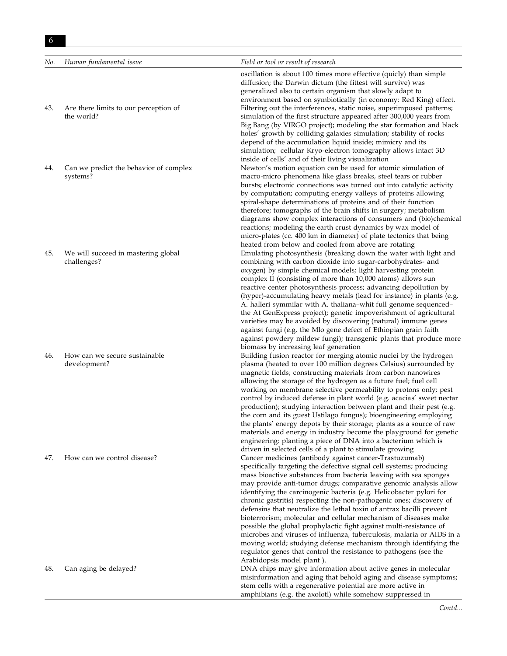*No. Human fundamental issue Field or tool or result of research*

- 
- 

oscillation is about 100 times more effective (quicly) than simple diffusion; the Darwin dictum (the fittest will survive) was generalized also to certain organism that slowly adapt to environment based on symbiotically (in economy: Red King) effect. 43. Are there limits to our perception of Filtering out the interferences, static noise, superimposed patterns; the world? simulation of the first structure appeared after 300,000 years from Big Bang (by VIRGO project); modeling the star formation and black holes' growth by colliding galaxies simulation; stability of rocks depend of the accumulation liquid inside; mimicry and its simulation; cellular Kryo-electron tomography allows intact 3D inside of cells' and of their living visualization 44. Can we predict the behavior of complex Newton's motion equation can be used for atomic simulation of systems? macro-micro phenomena like glass breaks, steel tears or rubber bursts; electronic connections was turned out into catalytic activity by computation; computing energy valleys of proteins allowing spiral-shape determinations of proteins and of their function therefore; tomographs of the brain shifts in surgery; metabolism diagrams show complex interactions of consumers and (bio)chemical reactions; modeling the earth crust dynamics by wax model of micro-plates (cc. 400 km in diameter) of plate tectonics that being heated from below and cooled from above are rotating 45. We will succeed in mastering global Emulating photosynthesis (breaking down the water with light and challenges? combining with carbon dioxide into sugar-carbohydrates- and oxygen) by simple chemical models; light harvesting protein complex II (consisting of more than 10,000 atoms) allows sun reactive center photosynthesis process; advancing depollution by (hyper)-accumulating heavy metals (lead for instance) in plants (e.g. A. halleri symmilar with A. thaliana–whit full genome sequenced– the At GenExpress project); genetic impoverishment of agricultural varieties may be avoided by discovering (natural) immune genes against fungi (e.g. the Mlo gene defect of Ethiopian grain faith against powdery mildew fungi); transgenic plants that produce more biomass by increasing leaf generation 46. How can we secure sustainable Building fusion reactor for merging atomic nuclei by the hydrogen development? plasma (heated to over 100 million degrees Celsius) surrounded by magnetic fields; constructing materials from carbon nanowires

allowing the storage of the hydrogen as a future fuel; fuel cell working on membrane selective permeability to protons only; pest control by induced defense in plant world (e.g. acacias' sweet nectar production); studying interaction between plant and their pest (e.g. the corn and its guest Ustilago fungus); bioengineering employing the plants' energy depots by their storage; plants as a source of raw materials and energy in industry become the playground for genetic engineering: planting a piece of DNA into a bacterium which is driven in selected cells of a plant to stimulate growing 47. How can we control disease? Cancer medicines (antibody against cancer-Trastuzumab) specifically targeting the defective signal cell systems; producing mass bioactive substances from bacteria leaving with sea sponges may provide anti-tumor drugs; comparative genomic analysis allow identifying the carcinogenic bacteria (e.g. Helicobacter pylori for chronic gastritis) respecting the non-pathogenic ones; discovery of defensins that neutralize the lethal toxin of antrax bacilli prevent bioterrorism; molecular and cellular mechanism of diseases make possible the global prophylactic fight against multi-resistance of microbes and viruses of influenza, tuberculosis, malaria or AIDS in a moving world; studying defense mechanism through identifying the regulator genes that control the resistance to pathogens (see the Arabidopsis model plant ).

48. Can aging be delayed? DNA chips may give information about active genes in molecular misinformation and aging that behold aging and disease symptoms; stem cells with a regenerative potential are more active in amphibians (e.g. the axolotl) while somehow suppressed in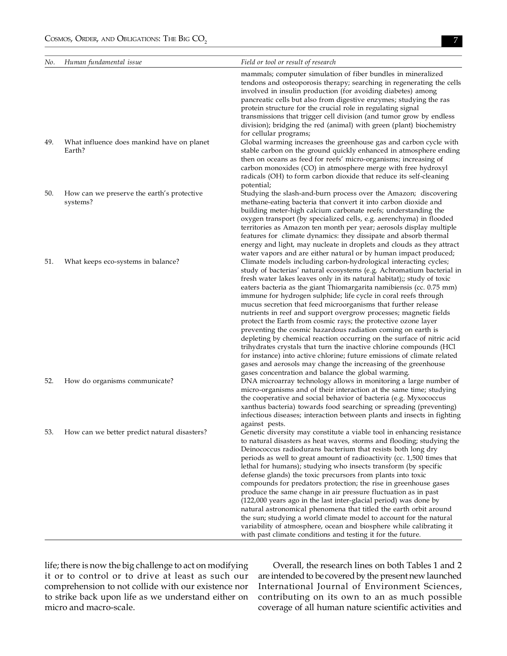| No. | Human fundamental issue                                | Field or tool or result of research                                                                                                                                                                                                                                                                                                                                                                                                                                                                                                                                                                                                                                                                                                                                                                                                                                                                                                                                                         |
|-----|--------------------------------------------------------|---------------------------------------------------------------------------------------------------------------------------------------------------------------------------------------------------------------------------------------------------------------------------------------------------------------------------------------------------------------------------------------------------------------------------------------------------------------------------------------------------------------------------------------------------------------------------------------------------------------------------------------------------------------------------------------------------------------------------------------------------------------------------------------------------------------------------------------------------------------------------------------------------------------------------------------------------------------------------------------------|
| 49. | What influence does mankind have on planet             | mammals; computer simulation of fiber bundles in mineralized<br>tendons and osteoporosis therapy; searching in regenerating the cells<br>involved in insulin production (for avoiding diabetes) among<br>pancreatic cells but also from digestive enzymes; studying the ras<br>protein structure for the crucial role in regulating signal<br>transmissions that trigger cell division (and tumor grow by endless<br>division); bridging the red (animal) with green (plant) biochemistry<br>for cellular programs;<br>Global warming increases the greenhouse gas and carbon cycle with                                                                                                                                                                                                                                                                                                                                                                                                    |
|     | Earth?                                                 | stable carbon on the ground quickly enhanced in atmosphere ending<br>then on oceans as feed for reefs' micro-organisms; increasing of<br>carbon monoxides (CO) in atmosphere merge with free hydroxyl<br>radicals (OH) to form carbon dioxide that reduce its self-cleaning<br>potential;                                                                                                                                                                                                                                                                                                                                                                                                                                                                                                                                                                                                                                                                                                   |
| 50. | How can we preserve the earth's protective<br>systems? | Studying the slash-and-burn process over the Amazon; discovering<br>methane-eating bacteria that convert it into carbon dioxide and<br>building meter-high calcium carbonate reefs; understanding the<br>oxygen transport (by specialized cells, e.g. aerenchyma) in flooded<br>territories as Amazon ten month per year; aerosols display multiple<br>features for climate dynamics: they dissipate and absorb thermal<br>energy and light, may nucleate in droplets and clouds as they attract<br>water vapors and are either natural or by human impact produced;                                                                                                                                                                                                                                                                                                                                                                                                                        |
| 51. | What keeps eco-systems in balance?                     | Climate models including carbon-hydrological interacting cycles;<br>study of bacterias' natural ecosystems (e.g. Achromatium bacterial in<br>fresh water lakes leaves only in its natural habitat);; study of toxic<br>eaters bacteria as the giant Thiomargarita namibiensis (cc. 0.75 mm)<br>immune for hydrogen sulphide; life cycle in coral reefs through<br>mucus secretion that feed microorganisms that further release<br>nutrients in reef and support overgrow processes; magnetic fields<br>protect the Earth from cosmic rays; the protective ozone layer<br>preventing the cosmic hazardous radiation coming on earth is<br>depleting by chemical reaction occurring on the surface of nitric acid<br>trihydrates crystals that turn the inactive chlorine compounds (HCl<br>for instance) into active chlorine; future emissions of climate related<br>gases and aerosols may change the increasing of the greenhouse<br>gases concentration and balance the global warming. |
| 52. | How do organisms communicate?                          | DNA microarray technology allows in monitoring a large number of<br>micro-organisms and of their interaction at the same time; studying<br>the cooperative and social behavior of bacteria (e.g. Myxococcus<br>xanthus bacteria) towards food searching or spreading (preventing)<br>infectious diseases; interaction between plants and insects in fighting<br>against pests.                                                                                                                                                                                                                                                                                                                                                                                                                                                                                                                                                                                                              |
| 53. | How can we better predict natural disasters?           | Genetic diversity may constitute a viable tool in enhancing resistance<br>to natural disasters as heat waves, storms and flooding; studying the<br>Deinococcus radiodurans bacterium that resists both long dry<br>periods as well to great amount of radioactivity (cc. 1,500 times that<br>lethal for humans); studying who insects transform (by specific<br>defense glands) the toxic precursors from plants into toxic<br>compounds for predators protection; the rise in greenhouse gases<br>produce the same change in air pressure fluctuation as in past<br>(122,000 years ago in the last inter-glacial period) was done by<br>natural astronomical phenomena that titled the earth orbit around<br>the sun; studying a world climate model to account for the natural<br>variability of atmosphere, ocean and biosphere while calibrating it<br>with past climate conditions and testing it for the future.                                                                      |

life; there is now the big challenge to act on modifying it or to control or to drive at least as such our comprehension to not collide with our existence nor to strike back upon life as we understand either on micro and macro-scale.

Overall, the research lines on both Tables 1 and 2 are intended to be covered by the present new launched International Journal of Environment Sciences, contributing on its own to an as much possible coverage of all human nature scientific activities and